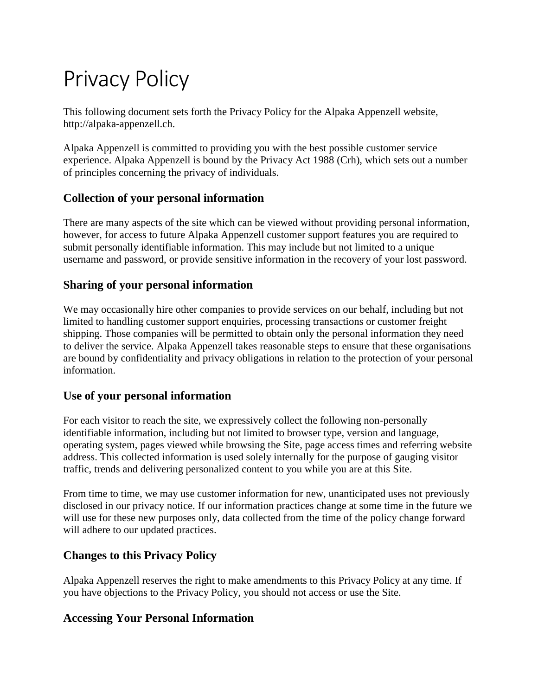# Privacy Policy

This following document sets forth the Privacy Policy for the Alpaka Appenzell website, http://alpaka-appenzell.ch.

Alpaka Appenzell is committed to providing you with the best possible customer service experience. Alpaka Appenzell is bound by the Privacy Act 1988 (Crh), which sets out a number of principles concerning the privacy of individuals.

## **Collection of your personal information**

There are many aspects of the site which can be viewed without providing personal information, however, for access to future Alpaka Appenzell customer support features you are required to submit personally identifiable information. This may include but not limited to a unique username and password, or provide sensitive information in the recovery of your lost password.

#### **Sharing of your personal information**

We may occasionally hire other companies to provide services on our behalf, including but not limited to handling customer support enquiries, processing transactions or customer freight shipping. Those companies will be permitted to obtain only the personal information they need to deliver the service. Alpaka Appenzell takes reasonable steps to ensure that these organisations are bound by confidentiality and privacy obligations in relation to the protection of your personal information.

#### **Use of your personal information**

For each visitor to reach the site, we expressively collect the following non-personally identifiable information, including but not limited to browser type, version and language, operating system, pages viewed while browsing the Site, page access times and referring website address. This collected information is used solely internally for the purpose of gauging visitor traffic, trends and delivering personalized content to you while you are at this Site.

From time to time, we may use customer information for new, unanticipated uses not previously disclosed in our privacy notice. If our information practices change at some time in the future we will use for these new purposes only, data collected from the time of the policy change forward will adhere to our updated practices.

#### **Changes to this Privacy Policy**

Alpaka Appenzell reserves the right to make amendments to this Privacy Policy at any time. If you have objections to the Privacy Policy, you should not access or use the Site.

#### **Accessing Your Personal Information**